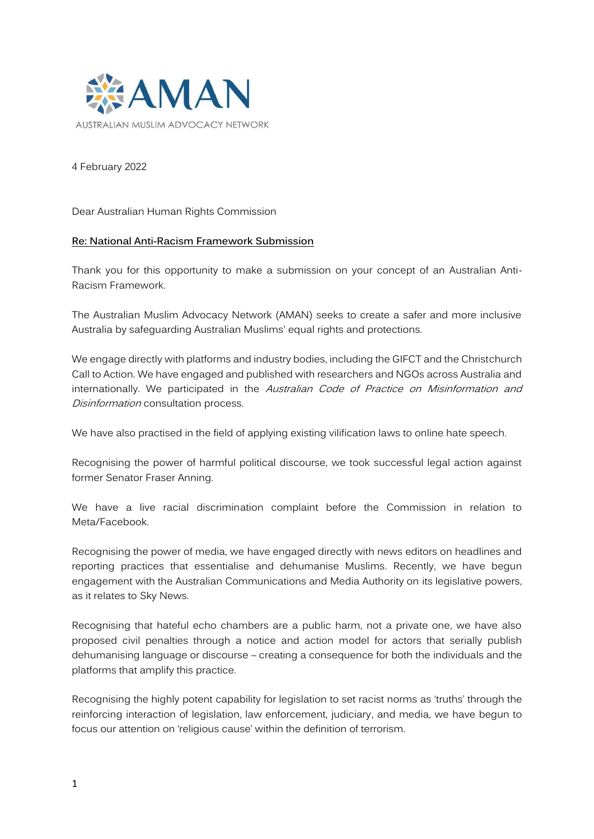

4 February 2022

Dear Australian Human Rights Commission

### **Re: National Anti-Racism Framework Submission**

Thank you for this opportunity to make a submission on your concept of an Australian Anti-Racism Framework.

The Australian Muslim Advocacy Network (AMAN) seeks to create a safer and more inclusive Australia by safeguarding Australian Muslims' equal rights and protections.

We engage directly with platforms and industry bodies, including the GIFCT and the Christchurch Call to Action. We have engaged and published with researchers and NGOs across Australia and internationally. We participated in the Australian Code of Practice on Misinformation and Disinformation consultation process.

We have also practised in the field of applying existing vilification laws to online hate speech.

Recognising the power of harmful political discourse, we took successful legal action against former Senator Fraser Anning.

We have a live racial discrimination complaint before the Commission in relation to Meta/Facebook.

Recognising the power of media, we have engaged directly with news editors on headlines and reporting practices that essentialise and dehumanise Muslims. Recently, we have begun engagement with the Australian Communications and Media Authority on its legislative powers, as it relates to Sky News.

Recognising that hateful echo chambers are a public harm, not a private one, we have also proposed civil penalties through a notice and action model for actors that serially publish dehumanising language or discourse – creating a consequence for both the individuals and the platforms that amplify this practice.

Recognising the highly potent capability for legislation to set racist norms as 'truths' through the reinforcing interaction of legislation, law enforcement, judiciary, and media, we have begun to focus our attention on 'religious cause' within the definition of terrorism.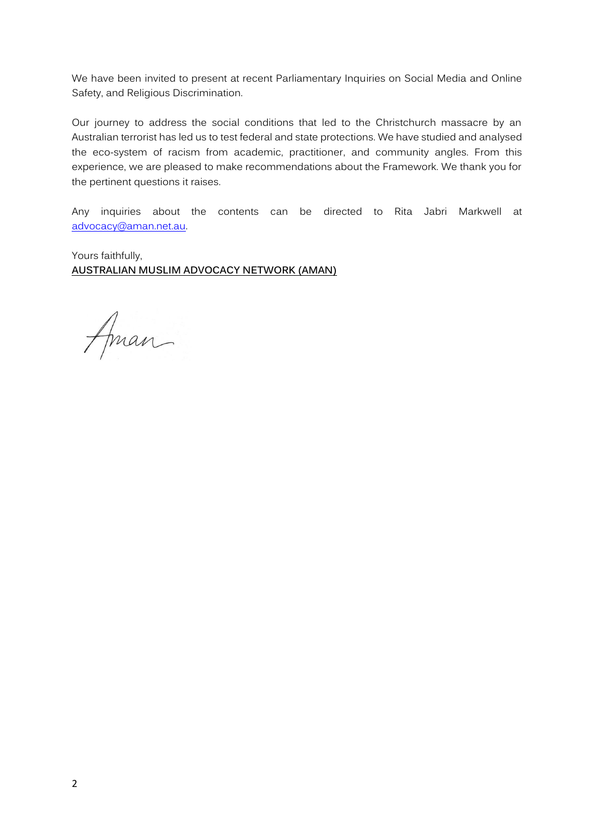We have been invited to present at recent Parliamentary Inquiries on Social Media and Online Safety, and Religious Discrimination.

Our journey to address the social conditions that led to the Christchurch massacre by an Australian terrorist has led us to test federal and state protections. We have studied and analysed the eco-system of racism from academic, practitioner, and community angles. From this experience, we are pleased to make recommendations about the Framework. We thank you for the pertinent questions it raises.

Any inquiries about the contents can be directed to Rita Jabri Markwell at [advocacy@aman.net.au.](mailto:advocacy@aman.net.au)

Yours faithfully, **AUSTRALIAN MUSLIM ADVOCACY NETWORK (AMAN)**

Aman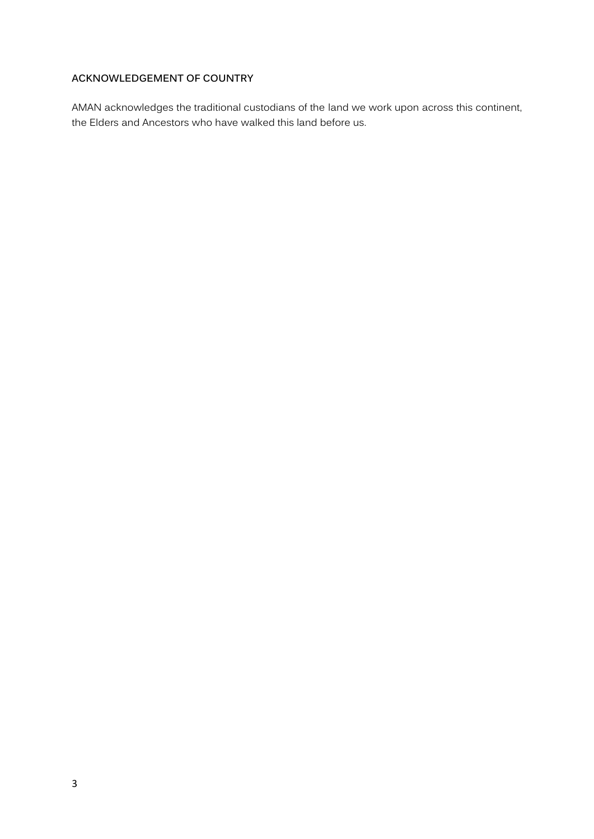# **ACKNOWLEDGEMENT OF COUNTRY**

AMAN acknowledges the traditional custodians of the land we work upon across this continent, the Elders and Ancestors who have walked this land before us.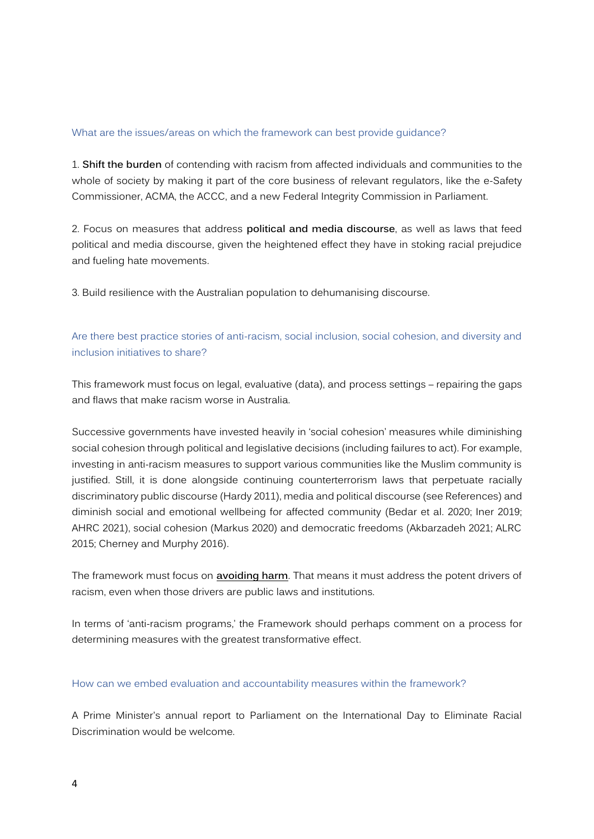## What are the issues/areas on which the framework can best provide guidance?

1. **Shift the burden** of contending with racism from affected individuals and communities to the whole of society by making it part of the core business of relevant regulators, like the e-Safety Commissioner, ACMA, the ACCC, and a new Federal Integrity Commission in Parliament.

2. Focus on measures that address **political and media discourse**, as well as laws that feed political and media discourse, given the heightened effect they have in stoking racial prejudice and fueling hate movements.

3. Build resilience with the Australian population to dehumanising discourse.

# Are there best practice stories of anti-racism, social inclusion, social cohesion, and diversity and inclusion initiatives to share?

This framework must focus on legal, evaluative (data), and process settings – repairing the gaps and flaws that make racism worse in Australia.

Successive governments have invested heavily in 'social cohesion' measures while diminishing social cohesion through political and legislative decisions (including failures to act). For example, investing in anti-racism measures to support various communities like the Muslim community is justified. Still, it is done alongside continuing counterterrorism laws that perpetuate racially discriminatory public discourse (Hardy 2011), media and political discourse (see References) and diminish social and emotional wellbeing for affected community (Bedar et al. 2020; Iner 2019; AHRC 2021), social cohesion (Markus 2020) and democratic freedoms (Akbarzadeh 2021; ALRC 2015; Cherney and Murphy 2016).

The framework must focus on **avoiding harm**. That means it must address the potent drivers of racism, even when those drivers are public laws and institutions.

In terms of 'anti-racism programs,' the Framework should perhaps comment on a process for determining measures with the greatest transformative effect.

### How can we embed evaluation and accountability measures within the framework?

A Prime Minister's annual report to Parliament on the International Day to Eliminate Racial Discrimination would be welcome.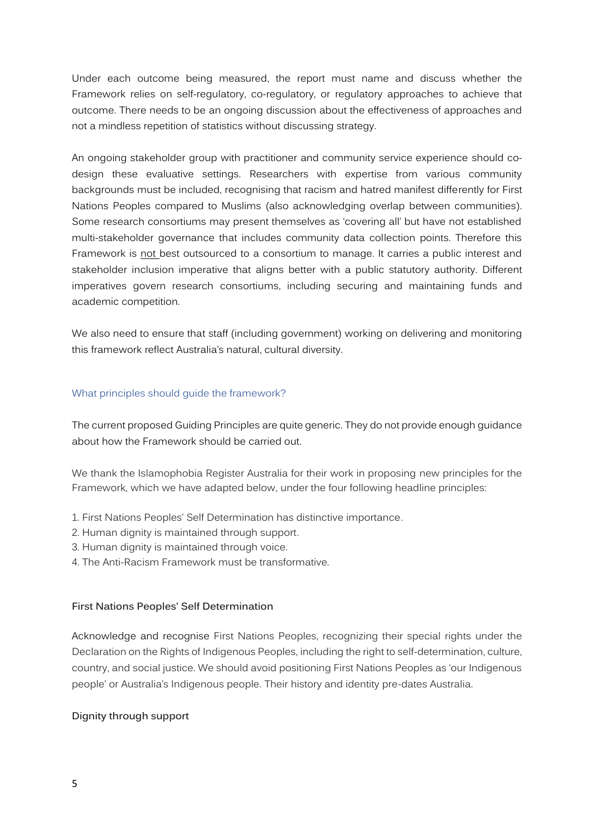Under each outcome being measured, the report must name and discuss whether the Framework relies on self-regulatory, co-regulatory, or regulatory approaches to achieve that outcome. There needs to be an ongoing discussion about the effectiveness of approaches and not a mindless repetition of statistics without discussing strategy.

An ongoing stakeholder group with practitioner and community service experience should codesign these evaluative settings. Researchers with expertise from various community backgrounds must be included, recognising that racism and hatred manifest differently for First Nations Peoples compared to Muslims (also acknowledging overlap between communities). Some research consortiums may present themselves as 'covering all' but have not established multi-stakeholder governance that includes community data collection points. Therefore this Framework is not best outsourced to a consortium to manage. It carries a public interest and stakeholder inclusion imperative that aligns better with a public statutory authority. Different imperatives govern research consortiums, including securing and maintaining funds and academic competition.

We also need to ensure that staff (including government) working on delivering and monitoring this framework reflect Australia's natural, cultural diversity.

### What principles should guide the framework?

The current proposed Guiding Principles are quite generic. They do not provide enough guidance about how the Framework should be carried out.

We thank the Islamophobia Register Australia for their work in proposing new principles for the Framework, which we have adapted below, under the four following headline principles:

- 1. First Nations Peoples' Self Determination has distinctive importance.
- 2. Human dignity is maintained through support.
- 3. Human dignity is maintained through voice.
- 4. The Anti-Racism Framework must be transformative.

### **First Nations Peoples' Self Determination**

Acknowledge and recognise First Nations Peoples, recognizing their special rights under the Declaration on the Rights of Indigenous Peoples, including the right to self-determination, culture, country, and social justice. We should avoid positioning First Nations Peoples as 'our Indigenous people' or Australia's Indigenous people. Their history and identity pre-dates Australia.

### **Dignity through support**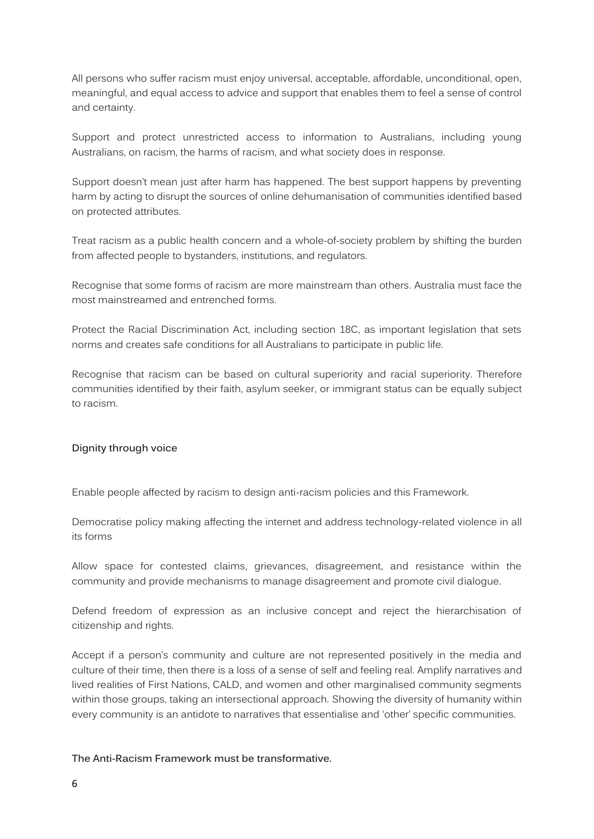All persons who suffer racism must enjoy universal, acceptable, affordable, unconditional, open, meaningful, and equal access to advice and support that enables them to feel a sense of control and certainty.

Support and protect unrestricted access to information to Australians, including young Australians, on racism, the harms of racism, and what society does in response.

Support doesn't mean just after harm has happened. The best support happens by preventing harm by acting to disrupt the sources of online dehumanisation of communities identified based on protected attributes.

Treat racism as a public health concern and a whole-of-society problem by shifting the burden from affected people to bystanders, institutions, and regulators.

Recognise that some forms of racism are more mainstream than others. Australia must face the most mainstreamed and entrenched forms.

Protect the Racial Discrimination Act, including section 18C, as important legislation that sets norms and creates safe conditions for all Australians to participate in public life.

Recognise that racism can be based on cultural superiority and racial superiority. Therefore communities identified by their faith, asylum seeker, or immigrant status can be equally subject to racism.

# **Dignity through voice**

Enable people affected by racism to design anti-racism policies and this Framework.

Democratise policy making affecting the internet and address technology-related violence in all its forms

Allow space for contested claims, grievances, disagreement, and resistance within the community and provide mechanisms to manage disagreement and promote civil dialogue.

Defend freedom of expression as an inclusive concept and reject the hierarchisation of citizenship and rights.

Accept if a person's community and culture are not represented positively in the media and culture of their time, then there is a loss of a sense of self and feeling real. Amplify narratives and lived realities of First Nations, CALD, and women and other marginalised community segments within those groups, taking an intersectional approach. Showing the diversity of humanity within every community is an antidote to narratives that essentialise and 'other' specific communities.

### **The Anti-Racism Framework must be transformative.**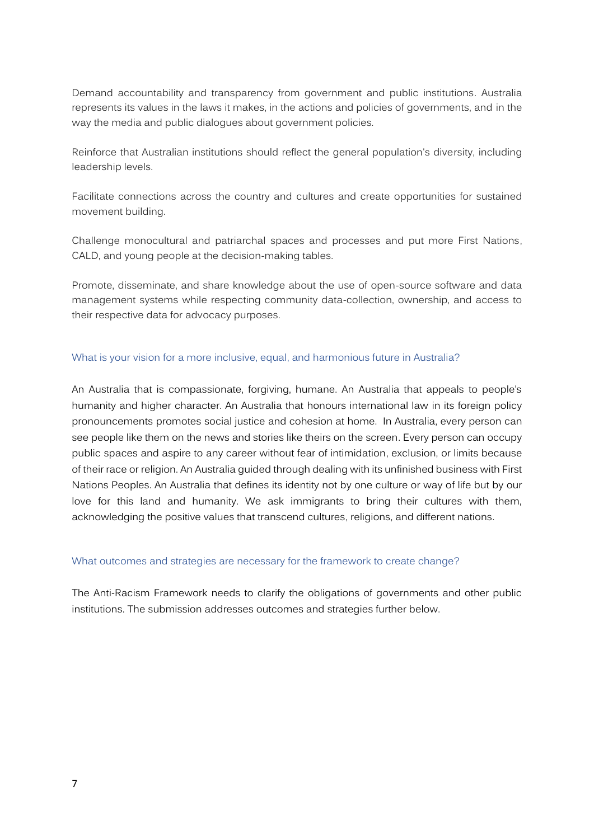Demand accountability and transparency from government and public institutions. Australia represents its values in the laws it makes, in the actions and policies of governments, and in the way the media and public dialogues about government policies.

Reinforce that Australian institutions should reflect the general population's diversity, including leadership levels.

Facilitate connections across the country and cultures and create opportunities for sustained movement building.

Challenge monocultural and patriarchal spaces and processes and put more First Nations, CALD, and young people at the decision-making tables.

Promote, disseminate, and share knowledge about the use of open-source software and data management systems while respecting community data-collection, ownership, and access to their respective data for advocacy purposes.

### What is your vision for a more inclusive, equal, and harmonious future in Australia?

An Australia that is compassionate, forgiving, humane. An Australia that appeals to people's humanity and higher character. An Australia that honours international law in its foreign policy pronouncements promotes social justice and cohesion at home. In Australia, every person can see people like them on the news and stories like theirs on the screen. Every person can occupy public spaces and aspire to any career without fear of intimidation, exclusion, or limits because of their race or religion. An Australia guided through dealing with its unfinished business with First Nations Peoples. An Australia that defines its identity not by one culture or way of life but by our love for this land and humanity. We ask immigrants to bring their cultures with them, acknowledging the positive values that transcend cultures, religions, and different nations.

### What outcomes and strategies are necessary for the framework to create change?

The Anti-Racism Framework needs to clarify the obligations of governments and other public institutions. The submission addresses outcomes and strategies further below.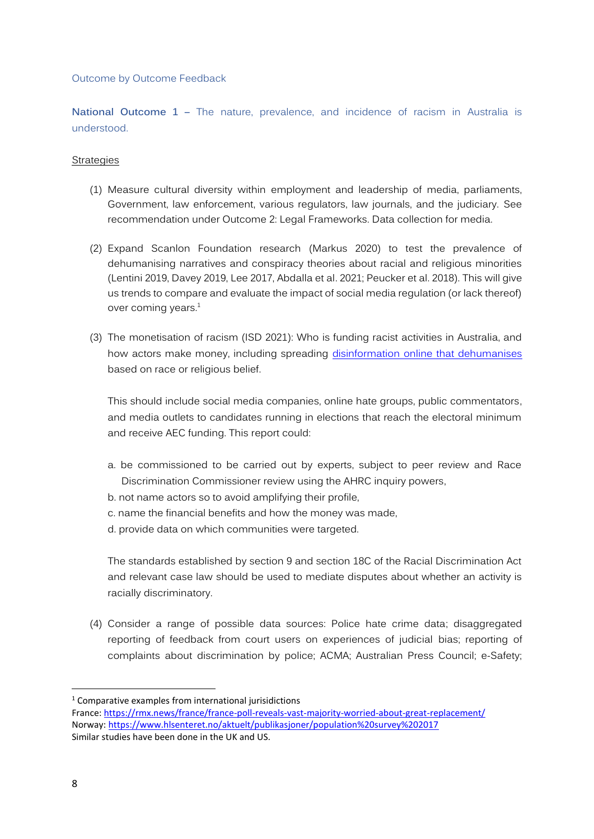### Outcome by Outcome Feedback

**National Outcome 1 –** The nature, prevalence, and incidence of racism in Australia is understood.

### **Strategies**

- (1) Measure cultural diversity within employment and leadership of media, parliaments, Government, law enforcement, various regulators, law journals, and the judiciary. See recommendation under Outcome 2: Legal Frameworks. Data collection for media.
- (2) Expand Scanlon Foundation research (Markus 2020) to test the prevalence of dehumanising narratives and conspiracy theories about racial and religious minorities (Lentini 2019, Davey 2019, Lee 2017, Abdalla et al. 2021; Peucker et al. 2018). This will give us trends to compare and evaluate the impact of social media regulation (or lack thereof) over coming years. $<sup>1</sup>$ </sup>
- (3) The monetisation of racism (ISD 2021): Who is funding racist activities in Australia, and how actors make money, including spreading disinformation online [that dehumanises](https://www.aman.net.au/?page_id=1425) based on race or religious belief.

This should include social media companies, online hate groups, public commentators, and media outlets to candidates running in elections that reach the electoral minimum and receive AEC funding. This report could:

- a. be commissioned to be carried out by experts, subject to peer review and Race Discrimination Commissioner review using the AHRC inquiry powers,
- b. not name actors so to avoid amplifying their profile,
- c. name the financial benefits and how the money was made,
- d. provide data on which communities were targeted.

The standards established by section 9 and section 18C of the Racial Discrimination Act and relevant case law should be used to mediate disputes about whether an activity is racially discriminatory.

(4) Consider a range of possible data sources: Police hate crime data; disaggregated reporting of feedback from court users on experiences of judicial bias; reporting of complaints about discrimination by police; ACMA; Australian Press Council; e-Safety;

<sup>1</sup> Comparative examples from international jurisidictions

France: <https://rmx.news/france/france-poll-reveals-vast-majority-worried-about-great-replacement/> Norway[: https://www.hlsenteret.no/aktuelt/publikasjoner/population%20survey%202017](https://www.hlsenteret.no/aktuelt/publikasjoner/population%20survey%202017) Similar studies have been done in the UK and US.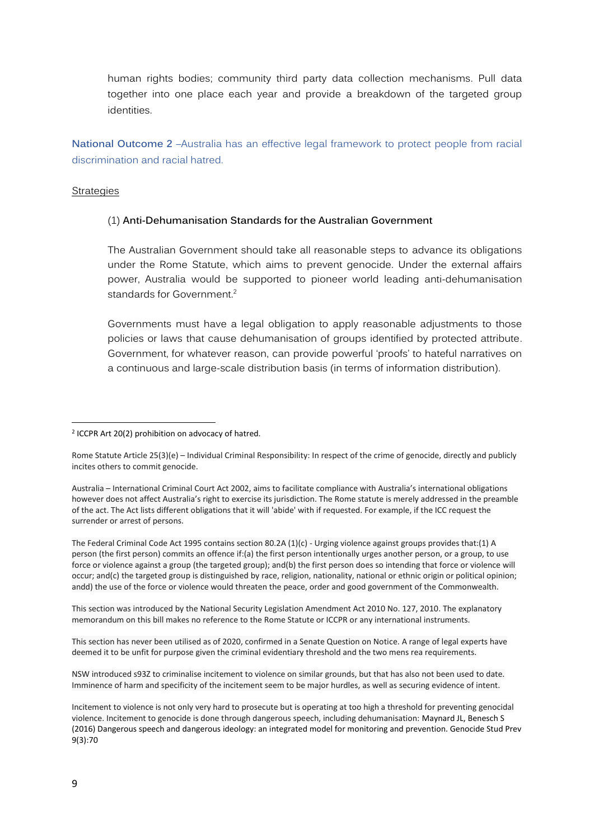human rights bodies; community third party data collection mechanisms. Pull data together into one place each year and provide a breakdown of the targeted group identities.

**National Outcome 2** –Australia has an effective legal framework to protect people from racial discrimination and racial hatred.

#### **Strategies**

### (1) **Anti-Dehumanisation Standards for the Australian Government**

The Australian Government should take all reasonable steps to advance its obligations under the Rome Statute, which aims to prevent genocide. Under the external affairs power, Australia would be supported to pioneer world leading anti-dehumanisation standards for Government.<sup>2</sup>

Governments must have a legal obligation to apply reasonable adjustments to those policies or laws that cause dehumanisation of groups identified by protected attribute. Government, for whatever reason, can provide powerful 'proofs' to hateful narratives on a continuous and large-scale distribution basis (in terms of information distribution).

The Federal Criminal Code Act 1995 contains section 80.2A (1)(c) - Urging violence against groups provides that:(1) A person (the first person) commits an offence if:(a) the first person intentionally urges another person, or a group, to use force or violence against a group (the targeted group); and(b) the first person does so intending that force or violence will occur; and(c) the targeted group is distinguished by race, religion, nationality, national or ethnic origin or political opinion; andd) the use of the force or violence would threaten the peace, order and good government of the Commonwealth.

This section was introduced by the National Security Legislation Amendment Act 2010 No. 127, 2010. The explanatory memorandum on this bill makes no reference to the Rome Statute or ICCPR or any international instruments.

This section has never been utilised as of 2020, confirmed in a Senate Question on Notice. A range of legal experts have deemed it to be unfit for purpose given the criminal evidentiary threshold and the two mens rea requirements.

NSW introduced s93Z to criminalise incitement to violence on similar grounds, but that has also not been used to date. Imminence of harm and specificity of the incitement seem to be major hurdles, as well as securing evidence of intent.

Incitement to violence is not only very hard to prosecute but is operating at too high a threshold for preventing genocidal violence. Incitement to genocide is done through dangerous speech, including dehumanisation: Maynard JL, Benesch S (2016) Dangerous speech and dangerous ideology: an integrated model for monitoring and prevention. Genocide Stud Prev 9(3):70

<sup>2</sup> ICCPR Art 20(2) prohibition on advocacy of hatred.

Rome Statute Article 25(3)(e) – Individual Criminal Responsibility: In respect of the crime of genocide, directly and publicly incites others to commit genocide.

Australia – International Criminal Court Act 2002, aims to facilitate compliance with Australia's international obligations however does not affect Australia's right to exercise its jurisdiction. The Rome statute is merely addressed in the preamble of the act. The Act lists different obligations that it will 'abide' with if requested. For example, if the ICC request the surrender or arrest of persons.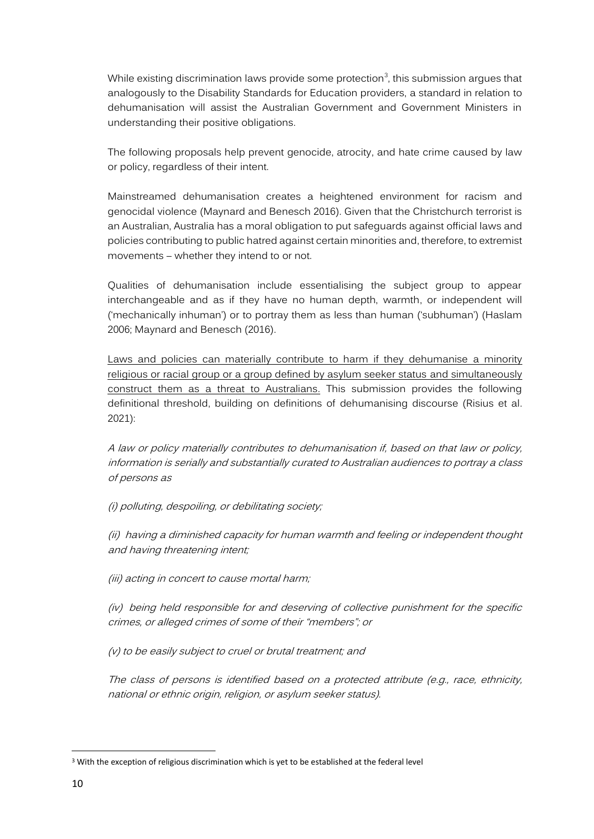While existing discrimination laws provide some protection<sup>3</sup>, this submission argues that analogously to the Disability Standards for Education providers, a standard in relation to dehumanisation will assist the Australian Government and Government Ministers in understanding their positive obligations.

The following proposals help prevent genocide, atrocity, and hate crime caused by law or policy, regardless of their intent.

Mainstreamed dehumanisation creates a heightened environment for racism and genocidal violence (Maynard and Benesch 2016). Given that the Christchurch terrorist is an Australian, Australia has a moral obligation to put safeguards against official laws and policies contributing to public hatred against certain minorities and, therefore, to extremist movements – whether they intend to or not.

Qualities of dehumanisation include essentialising the subject group to appear interchangeable and as if they have no human depth, warmth, or independent will ('mechanically inhuman') or to portray them as less than human ('subhuman') (Haslam 2006; Maynard and Benesch (2016).

Laws and policies can materially contribute to harm if they dehumanise a minority religious or racial group or a group defined by asylum seeker status and simultaneously construct them as a threat to Australians. This submission provides the following definitional threshold, building on definitions of dehumanising discourse (Risius et al. 2021):

A law or policy materially contributes to dehumanisation if, based on that law or policy, information is serially and substantially curated to Australian audiences to portray a class of persons as

(i) polluting, despoiling, or debilitating society;

(ii) having a diminished capacity for human warmth and feeling or independent thought and having threatening intent;

(iii) acting in concert to cause mortal harm;

(iv) being held responsible for and deserving of collective punishment for the specific crimes, or alleged crimes of some of their "members"; or

(v) to be easily subject to cruel or brutal treatment; and

The class of persons is identified based on a protected attribute (e.g., race, ethnicity, national or ethnic origin, religion, or asylum seeker status).

<sup>&</sup>lt;sup>3</sup> With the exception of religious discrimination which is yet to be established at the federal level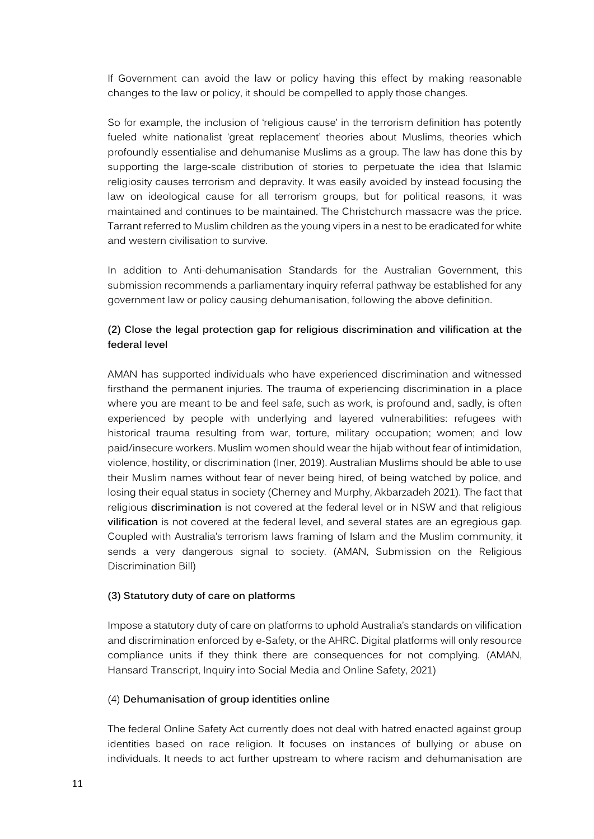If Government can avoid the law or policy having this effect by making reasonable changes to the law or policy, it should be compelled to apply those changes.

So for example, the inclusion of 'religious cause' in the terrorism definition has potently fueled white nationalist 'great replacement' theories about Muslims, theories which profoundly essentialise and dehumanise Muslims as a group. The law has done this by supporting the large-scale distribution of stories to perpetuate the idea that Islamic religiosity causes terrorism and depravity. It was easily avoided by instead focusing the law on ideological cause for all terrorism groups, but for political reasons, it was maintained and continues to be maintained. The Christchurch massacre was the price. Tarrant referred to Muslim children as the young vipers in a nest to be eradicated for white and western civilisation to survive.

In addition to Anti-dehumanisation Standards for the Australian Government, this submission recommends a parliamentary inquiry referral pathway be established for any government law or policy causing dehumanisation, following the above definition.

# **(2) Close the legal protection gap for religious discrimination and vilification at the federal level**

AMAN has supported individuals who have experienced discrimination and witnessed firsthand the permanent injuries. The trauma of experiencing discrimination in a place where you are meant to be and feel safe, such as work, is profound and, sadly, is often experienced by people with underlying and layered vulnerabilities: refugees with historical trauma resulting from war, torture, military occupation; women; and low paid/insecure workers. Muslim women should wear the hijab without fear of intimidation, violence, hostility, or discrimination (Iner, 2019). Australian Muslims should be able to use their Muslim names without fear of never being hired, of being watched by police, and losing their equal status in society (Cherney and Murphy, Akbarzadeh 2021). The fact that religious **discrimination** is not covered at the federal level or in NSW and that religious **vilification** is not covered at the federal level, and several states are an egregious gap. Coupled with Australia's terrorism laws framing of Islam and the Muslim community, it sends a very dangerous signal to society. (AMAN, Submission on the Religious Discrimination Bill)

# **(3) Statutory duty of care on platforms**

Impose a statutory duty of care on platforms to uphold Australia's standards on vilification and discrimination enforced by e-Safety, or the AHRC. Digital platforms will only resource compliance units if they think there are consequences for not complying. (AMAN, Hansard Transcript, Inquiry into Social Media and Online Safety, 2021)

# (4) **Dehumanisation of group identities online**

The federal Online Safety Act currently does not deal with hatred enacted against group identities based on race religion. It focuses on instances of bullying or abuse on individuals. It needs to act further upstream to where racism and dehumanisation are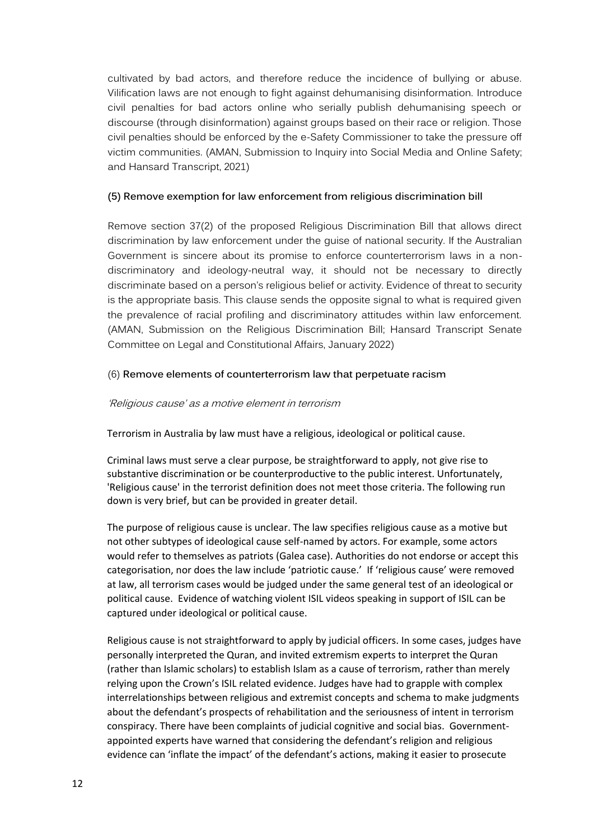cultivated by bad actors, and therefore reduce the incidence of bullying or abuse. Vilification laws are not enough to fight against dehumanising disinformation. Introduce civil penalties for bad actors online who serially publish dehumanising speech or discourse (through disinformation) against groups based on their race or religion. Those civil penalties should be enforced by the e-Safety Commissioner to take the pressure off victim communities. (AMAN, Submission to Inquiry into Social Media and Online Safety; and Hansard Transcript, 2021)

## **(5) Remove exemption for law enforcement from religious discrimination bill**

Remove section 37(2) of the proposed Religious Discrimination Bill that allows direct discrimination by law enforcement under the guise of national security. If the Australian Government is sincere about its promise to enforce counterterrorism laws in a nondiscriminatory and ideology-neutral way, it should not be necessary to directly discriminate based on a person's religious belief or activity. Evidence of threat to security is the appropriate basis. This clause sends the opposite signal to what is required given the prevalence of racial profiling and discriminatory attitudes within law enforcement. (AMAN, Submission on the Religious Discrimination Bill; Hansard Transcript Senate Committee on Legal and Constitutional Affairs, January 2022)

### (6) **Remove elements of counterterrorism law that perpetuate racism**

### 'Religious cause' as a motive element in terrorism

Terrorism in Australia by law must have a religious, ideological or political cause.

Criminal laws must serve a clear purpose, be straightforward to apply, not give rise to substantive discrimination or be counterproductive to the public interest. Unfortunately, 'Religious cause' in the terrorist definition does not meet those criteria. The following run down is very brief, but can be provided in greater detail.

The purpose of religious cause is unclear. The law specifies religious cause as a motive but not other subtypes of ideological cause self-named by actors. For example, some actors would refer to themselves as patriots (Galea case). Authorities do not endorse or accept this categorisation, nor does the law include 'patriotic cause.' If 'religious cause' were removed at law, all terrorism cases would be judged under the same general test of an ideological or political cause. Evidence of watching violent ISIL videos speaking in support of ISIL can be captured under ideological or political cause.

Religious cause is not straightforward to apply by judicial officers. In some cases, judges have personally interpreted the Quran, and invited extremism experts to interpret the Quran (rather than Islamic scholars) to establish Islam as a cause of terrorism, rather than merely relying upon the Crown's ISIL related evidence. Judges have had to grapple with complex interrelationships between religious and extremist concepts and schema to make judgments about the defendant's prospects of rehabilitation and the seriousness of intent in terrorism conspiracy. There have been complaints of judicial cognitive and social bias. Governmentappointed experts have warned that considering the defendant's religion and religious evidence can 'inflate the impact' of the defendant's actions, making it easier to prosecute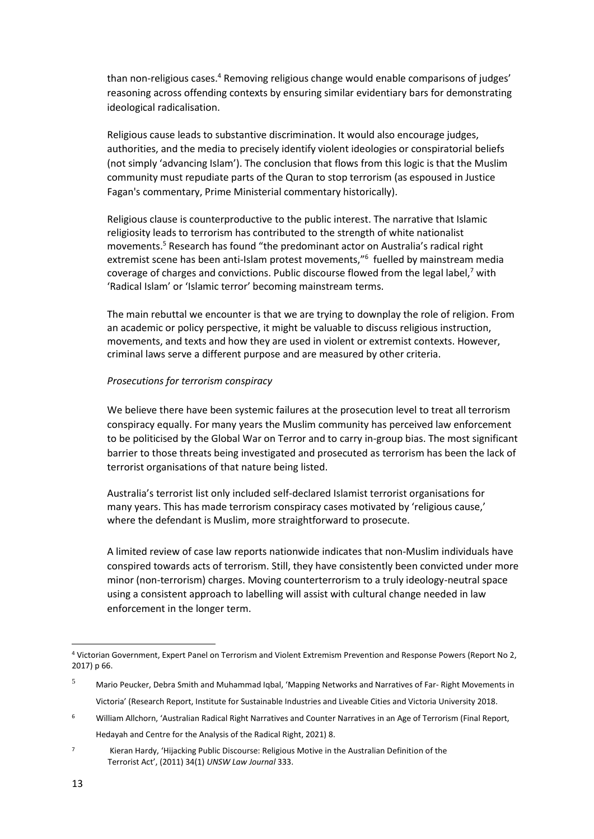than non-religious cases.<sup>4</sup> Removing religious change would enable comparisons of judges' reasoning across offending contexts by ensuring similar evidentiary bars for demonstrating ideological radicalisation.

Religious cause leads to substantive discrimination. It would also encourage judges, authorities, and the media to precisely identify violent ideologies or conspiratorial beliefs (not simply 'advancing Islam'). The conclusion that flows from this logic is that the Muslim community must repudiate parts of the Quran to stop terrorism (as espoused in Justice Fagan's commentary, Prime Ministerial commentary historically).

Religious clause is counterproductive to the public interest. The narrative that Islamic religiosity leads to terrorism has contributed to the strength of white nationalist movements.<sup>5</sup> Research has found "the predominant actor on Australia's radical right extremist scene has been anti-Islam protest movements,"<sup>6</sup> fuelled by mainstream media coverage of charges and convictions. Public discourse flowed from the legal label, $7$  with 'Radical Islam' or 'Islamic terror' becoming mainstream terms.

The main rebuttal we encounter is that we are trying to downplay the role of religion. From an academic or policy perspective, it might be valuable to discuss religious instruction, movements, and texts and how they are used in violent or extremist contexts. However, criminal laws serve a different purpose and are measured by other criteria.

#### *Prosecutions for terrorism conspiracy*

We believe there have been systemic failures at the prosecution level to treat all terrorism conspiracy equally. For many years the Muslim community has perceived law enforcement to be politicised by the Global War on Terror and to carry in-group bias. The most significant barrier to those threats being investigated and prosecuted as terrorism has been the lack of terrorist organisations of that nature being listed.

Australia's terrorist list only included self-declared Islamist terrorist organisations for many years. This has made terrorism conspiracy cases motivated by 'religious cause,' where the defendant is Muslim, more straightforward to prosecute.

A limited review of case law reports nationwide indicates that non-Muslim individuals have conspired towards acts of terrorism. Still, they have consistently been convicted under more minor (non-terrorism) charges. Moving counterterrorism to a truly ideology-neutral space using a consistent approach to labelling will assist with cultural change needed in law enforcement in the longer term.

<sup>4</sup> Victorian Government, Expert Panel on Terrorism and Violent Extremism Prevention and Response Powers (Report No 2, 2017) p 66.

<sup>5</sup> Mario Peucker, Debra Smith and Muhammad Iqbal, 'Mapping Networks and Narratives of Far- Right Movements in Victoria' (Research Report, Institute for Sustainable Industries and Liveable Cities and Victoria University 2018.

<sup>6</sup> William Allchorn, 'Australian Radical Right Narratives and Counter Narratives in an Age of Terrorism (Final Report, Hedayah and Centre for the Analysis of the Radical Right, 2021) 8.

<sup>7</sup> Kieran Hardy, 'Hijacking Public Discourse: Religious Motive in the Australian Definition of the Terrorist Act', (2011) 34(1) *UNSW Law Journal* 333.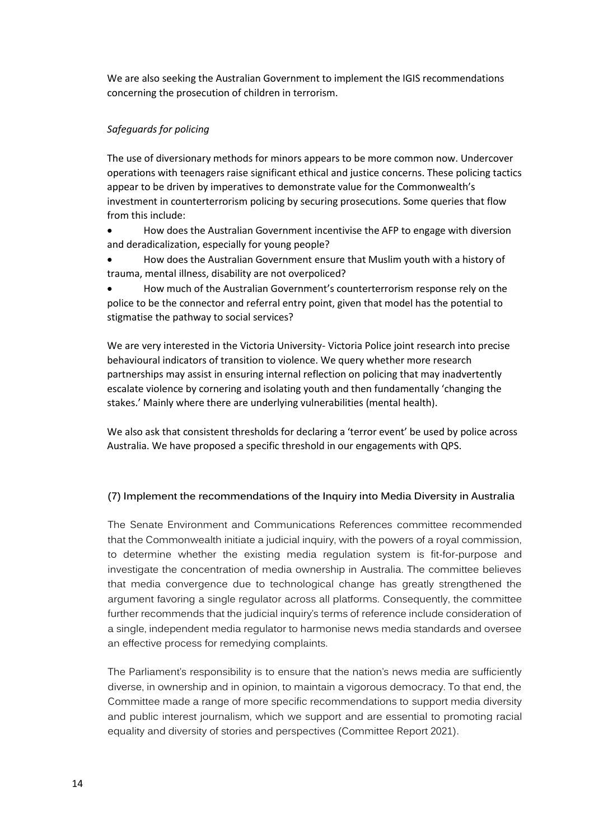We are also seeking the Australian Government to implement the IGIS recommendations concerning the prosecution of children in terrorism.

# *Safeguards for policing*

The use of diversionary methods for minors appears to be more common now. Undercover operations with teenagers raise significant ethical and justice concerns. These policing tactics appear to be driven by imperatives to demonstrate value for the Commonwealth's investment in counterterrorism policing by securing prosecutions. Some queries that flow from this include:

• How does the Australian Government incentivise the AFP to engage with diversion and deradicalization, especially for young people?

• How does the Australian Government ensure that Muslim youth with a history of trauma, mental illness, disability are not overpoliced?

• How much of the Australian Government's counterterrorism response rely on the police to be the connector and referral entry point, given that model has the potential to stigmatise the pathway to social services?

We are very interested in the Victoria University- Victoria Police joint research into precise behavioural indicators of transition to violence. We query whether more research partnerships may assist in ensuring internal reflection on policing that may inadvertently escalate violence by cornering and isolating youth and then fundamentally 'changing the stakes.' Mainly where there are underlying vulnerabilities (mental health).

We also ask that consistent thresholds for declaring a 'terror event' be used by police across Australia. We have proposed a specific threshold in our engagements with QPS.

# **(7) Implement the recommendations of the Inquiry into Media Diversity in Australia**

The Senate Environment and Communications References committee recommended that the Commonwealth initiate a judicial inquiry, with the powers of a royal commission, to determine whether the existing media regulation system is fit-for-purpose and investigate the concentration of media ownership in Australia. The committee believes that media convergence due to technological change has greatly strengthened the argument favoring a single regulator across all platforms. Consequently, the committee further recommends that the judicial inquiry's terms of reference include consideration of a single, independent media regulator to harmonise news media standards and oversee an effective process for remedying complaints.

The Parliament's responsibility is to ensure that the nation's news media are sufficiently diverse, in ownership and in opinion, to maintain a vigorous democracy. To that end, the Committee made a range of more specific recommendations to support media diversity and public interest journalism, which we support and are essential to promoting racial equality and diversity of stories and perspectives (Committee Report 2021).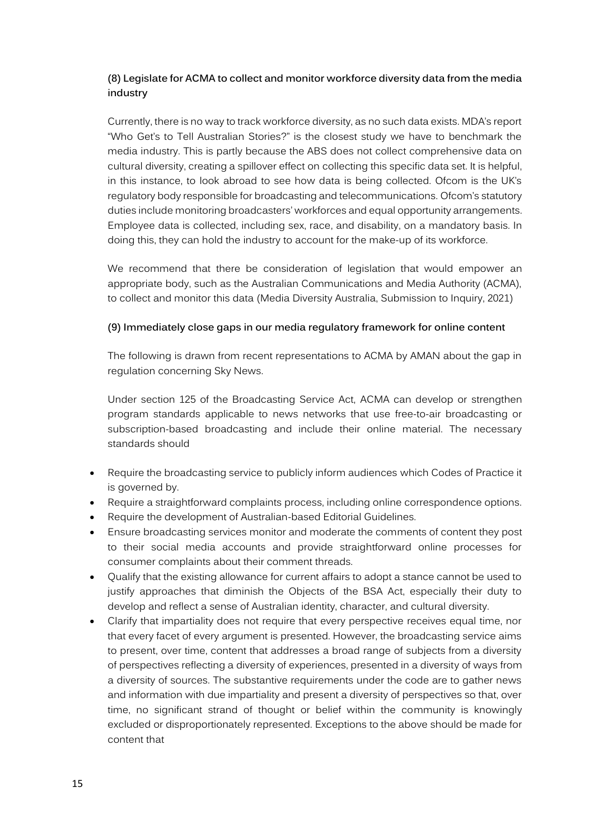# **(8) Legislate for ACMA to collect and monitor workforce diversity data from the media industry**

Currently, there is no way to track workforce diversity, as no such data exists. MDA's report "Who Get's to Tell Australian Stories?" is the closest study we have to benchmark the media industry. This is partly because the ABS does not collect comprehensive data on cultural diversity, creating a spillover effect on collecting this specific data set. It is helpful, in this instance, to look abroad to see how data is being collected. Ofcom is the UK's regulatory body responsible for broadcasting and telecommunications. Ofcom's statutory duties include monitoring broadcasters' workforces and equal opportunity arrangements. Employee data is collected, including sex, race, and disability, on a mandatory basis. In doing this, they can hold the industry to account for the make-up of its workforce.

We recommend that there be consideration of legislation that would empower an appropriate body, such as the Australian Communications and Media Authority (ACMA), to collect and monitor this data (Media Diversity Australia, Submission to Inquiry, 2021)

# **(9) Immediately close gaps in our media regulatory framework for online content**

The following is drawn from recent representations to ACMA by AMAN about the gap in regulation concerning Sky News.

Under section 125 of the Broadcasting Service Act, ACMA can develop or strengthen program standards applicable to news networks that use free-to-air broadcasting or subscription-based broadcasting and include their online material. The necessary standards should

- Require the broadcasting service to publicly inform audiences which Codes of Practice it is governed by.
- Require a straightforward complaints process, including online correspondence options.
- Require the development of Australian-based Editorial Guidelines.
- Ensure broadcasting services monitor and moderate the comments of content they post to their social media accounts and provide straightforward online processes for consumer complaints about their comment threads.
- Qualify that the existing allowance for current affairs to adopt a stance cannot be used to justify approaches that diminish the Objects of the BSA Act, especially their duty to develop and reflect a sense of Australian identity, character, and cultural diversity.
- Clarify that impartiality does not require that every perspective receives equal time, nor that every facet of every argument is presented. However, the broadcasting service aims to present, over time, content that addresses a broad range of subjects from a diversity of perspectives reflecting a diversity of experiences, presented in a diversity of ways from a diversity of sources. The substantive requirements under the code are to gather news and information with due impartiality and present a diversity of perspectives so that, over time, no significant strand of thought or belief within the community is knowingly excluded or disproportionately represented. Exceptions to the above should be made for content that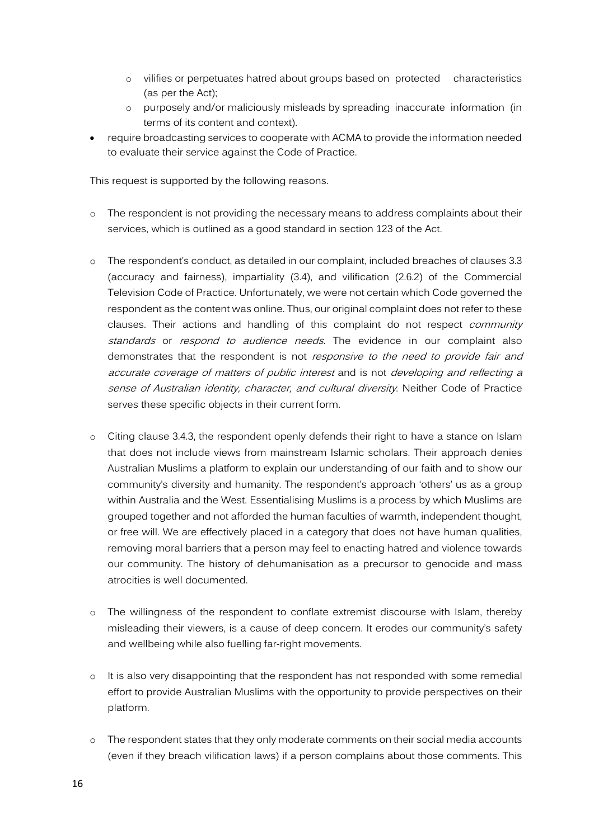- o vilifies or perpetuates hatred about groups based on protected characteristics (as per the Act);
- o purposely and/or maliciously misleads by spreading inaccurate information (in terms of its content and context).
- require broadcasting services to cooperate with ACMA to provide the information needed to evaluate their service against the Code of Practice.

This request is supported by the following reasons.

- o The respondent is not providing the necessary means to address complaints about their services, which is outlined as a good standard in section 123 of the Act.
- o The respondent's conduct, as detailed in our complaint, included breaches of clauses 3.3 (accuracy and fairness), impartiality (3.4), and vilification (2.6.2) of the Commercial Television Code of Practice. Unfortunately, we were not certain which Code governed the respondent as the content was online. Thus, our original complaint does not refer to these clauses. Their actions and handling of this complaint do not respect *community* standards or respond to audience needs. The evidence in our complaint also demonstrates that the respondent is not *responsive to the need to provide fair and* accurate coverage of matters of public interest and is not developing and reflecting <sup>a</sup> sense of Australian identity, character, and cultural diversity. Neither Code of Practice serves these specific objects in their current form.
- o Citing clause 3.4.3, the respondent openly defends their right to have a stance on Islam that does not include views from mainstream Islamic scholars. Their approach denies Australian Muslims a platform to explain our understanding of our faith and to show our community's diversity and humanity. The respondent's approach 'others' us as a group within Australia and the West. Essentialising Muslims is a process by which Muslims are grouped together and not afforded the human faculties of warmth, independent thought, or free will. We are effectively placed in a category that does not have human qualities, removing moral barriers that a person may feel to enacting hatred and violence towards our community. The history of dehumanisation as a precursor to genocide and mass atrocities is well documented.
- o The willingness of the respondent to conflate extremist discourse with Islam, thereby misleading their viewers, is a cause of deep concern. It erodes our community's safety and wellbeing while also fuelling far-right movements.
- o It is also very disappointing that the respondent has not responded with some remedial effort to provide Australian Muslims with the opportunity to provide perspectives on their platform.
- o The respondent states that they only moderate comments on their social media accounts (even if they breach vilification laws) if a person complains about those comments. This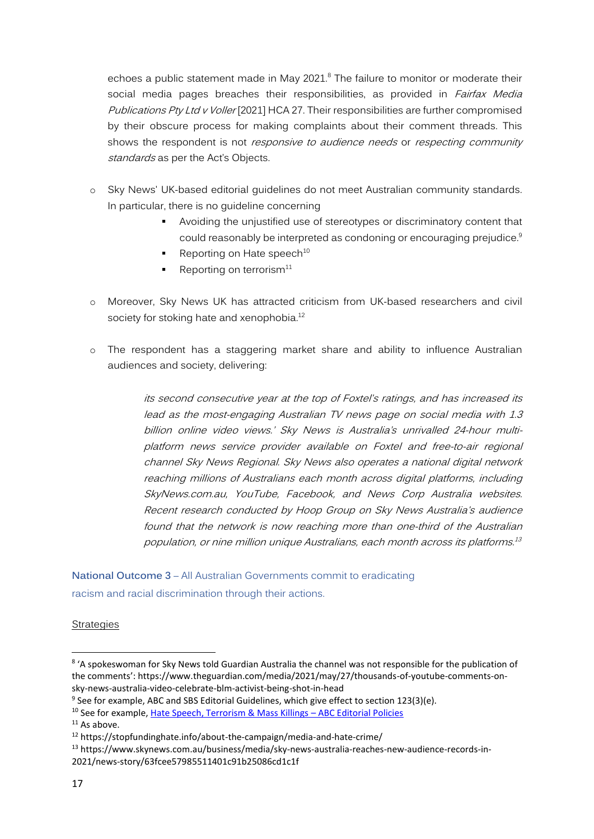echoes a public statement made in May  $2021$ .<sup>8</sup> The failure to monitor or moderate their social media pages breaches their responsibilities, as provided in *Fairfax Media* Publications Pty Ltd v Voller [2021] HCA 27. Their responsibilities are further compromised by their obscure process for making complaints about their comment threads. This shows the respondent is not responsive to audience needs or respecting community standards as per the Act's Objects.

- o Sky News' UK-based editorial guidelines do not meet Australian community standards. In particular, there is no guideline concerning
	- Avoiding the unjustified use of stereotypes or discriminatory content that could reasonably be interpreted as condoning or encouraging prejudice.<sup>9</sup>
	- **•** Reporting on Hate speech<sup>10</sup>
	- Reporting on terrorism $11$
- o Moreover, Sky News UK has attracted criticism from UK-based researchers and civil society for stoking hate and xenophobia.<sup>12</sup>
- o The respondent has a staggering market share and ability to influence Australian audiences and society, delivering:

its second consecutive year at the top of Foxtel's ratings, and has increased its lead as the most-engaging Australian TV news page on social media with 1.3 billion online video views.' Sky News is Australia's unrivalled 24-hour multiplatform news service provider available on Foxtel and free-to-air regional channel Sky News Regional. Sky News also operates <sup>a</sup> national digital network reaching millions of Australians each month across digital platforms, including SkyNews.com.au, YouTube, Facebook, and News Corp Australia websites. Recent research conducted by Hoop Group on Sky News Australia's audience found that the network is now reaching more than one-third of the Australian population, or nine million unique Australians, each month across its platforms. 13

**National Outcome 3** – All Australian Governments commit to eradicating racism and racial discrimination through their actions.

### Strategies

<sup>9</sup> See for example, ABC and SBS Editorial Guidelines, which give effect to section 123(3)(e).

<sup>&</sup>lt;sup>8</sup> 'A spokeswoman for Sky News told Guardian Australia the channel was not responsible for the publication of the comments': https://www.theguardian.com/media/2021/may/27/thousands-of-youtube-comments-onsky-news-australia-video-celebrate-blm-activist-being-shot-in-head

<sup>10</sup> See for example, [Hate Speech, Terrorism & Mass Killings](https://edpols.abc.net.au/guidance/hate-speech-terrorism-mass-killings/) – ABC Editorial Policies

 $11$  As above.

<sup>12</sup> https://stopfundinghate.info/about-the-campaign/media-and-hate-crime/

<sup>13</sup> https://www.skynews.com.au/business/media/sky-news-australia-reaches-new-audience-records-in-2021/news-story/63fcee57985511401c91b25086cd1c1f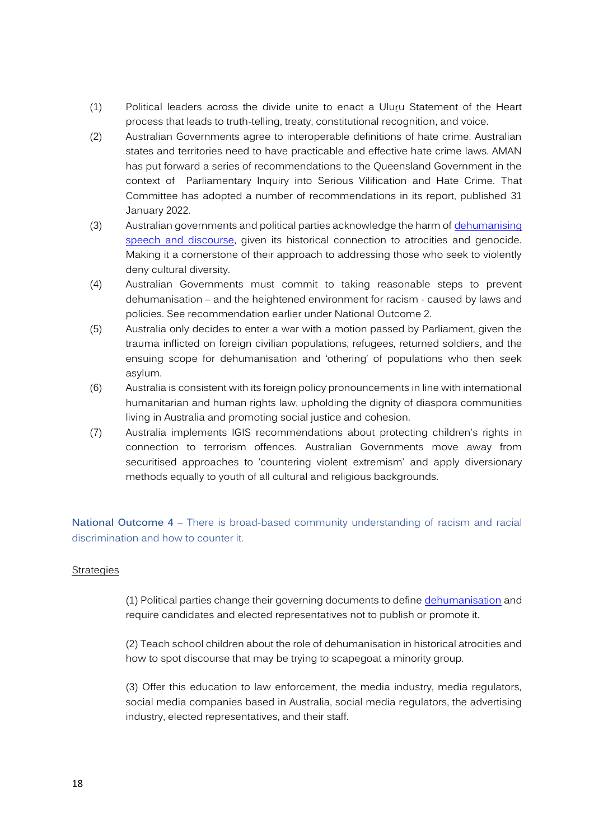- (1) Political leaders across the divide unite to enact a Uluru Statement of the Heart process that leads to truth-telling, treaty, constitutional recognition, and voice.
- (2) Australian Governments agree to interoperable definitions of hate crime. Australian states and territories need to have practicable and effective hate crime laws. AMAN has put forward a series of recommendations to the Queensland Government in the context of Parliamentary Inquiry into Serious Vilification and Hate Crime. That Committee has adopted a number of recommendations in its report, published 31 January 2022.
- (3) Australian governments and political parties acknowledge the harm of [dehumanising](https://www.aman.net.au/?page_id=1425)  [speech and discourse,](https://www.aman.net.au/?page_id=1425) given its historical connection to atrocities and genocide. Making it a cornerstone of their approach to addressing those who seek to violently deny cultural diversity.
- (4) Australian Governments must commit to taking reasonable steps to prevent dehumanisation – and the heightened environment for racism - caused by laws and policies. See recommendation earlier under National Outcome 2.
- (5) Australia only decides to enter a war with a motion passed by Parliament, given the trauma inflicted on foreign civilian populations, refugees, returned soldiers, and the ensuing scope for dehumanisation and 'othering' of populations who then seek asylum.
- (6) Australia is consistent with its foreign policy pronouncements in line with international humanitarian and human rights law, upholding the dignity of diaspora communities living in Australia and promoting social justice and cohesion.
- (7) Australia implements IGIS recommendations about protecting children's rights in connection to terrorism offences. Australian Governments move away from securitised approaches to 'countering violent extremism' and apply diversionary methods equally to youth of all cultural and religious backgrounds.

**National Outcome 4** – There is broad-based community understanding of racism and racial discrimination and how to counter it.

### **Strategies**

(1) Political parties change their governing documents to defin[e dehumanisation](https://www.aman.net.au/?page_id=1425) and require candidates and elected representatives not to publish or promote it.

(2) Teach school children about the role of dehumanisation in historical atrocities and how to spot discourse that may be trying to scapegoat a minority group.

(3) Offer this education to law enforcement, the media industry, media regulators, social media companies based in Australia, social media regulators, the advertising industry, elected representatives, and their staff.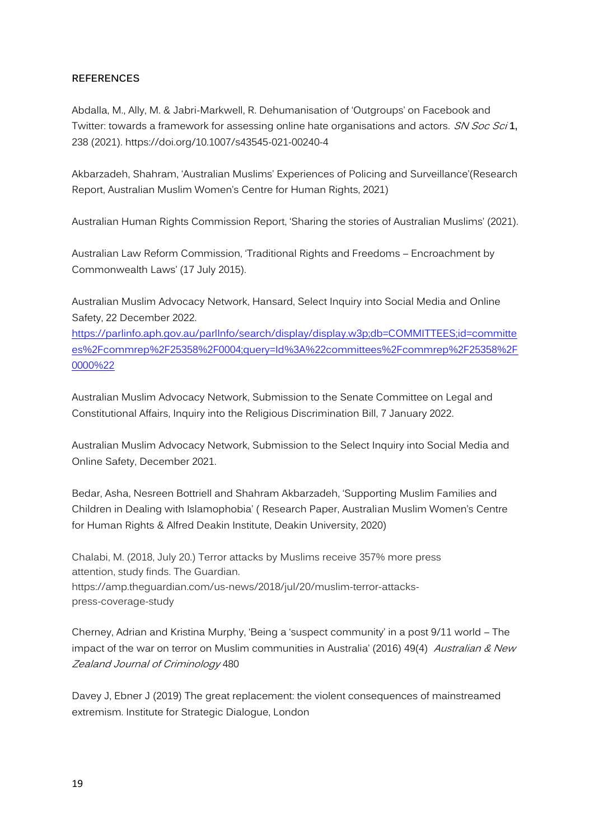## **REFERENCES**

Abdalla, M., Ally, M. & Jabri-Markwell, R. Dehumanisation of 'Outgroups' on Facebook and Twitter: towards a framework for assessing online hate organisations and actors. SN Soc Sci **1,**  238 (2021). https://doi.org/10.1007/s43545-021-00240-4

Akbarzadeh, Shahram, 'Australian Muslims' Experiences of Policing and Surveillance'(Research Report, Australian Muslim Women's Centre for Human Rights, 2021)

Australian Human Rights Commission Report, 'Sharing the stories of Australian Muslims' (2021).

Australian Law Reform Commission, 'Traditional Rights and Freedoms – Encroachment by Commonwealth Laws' (17 July 2015).

Australian Muslim Advocacy Network, Hansard, Select Inquiry into Social Media and Online Safety, 22 December 2022.

[https://parlinfo.aph.gov.au/parlInfo/search/display/display.w3p;db=COMMITTEES;id=committe](https://parlinfo.aph.gov.au/parlInfo/search/display/display.w3p;db=COMMITTEES;id=committees%2Fcommrep%2F25358%2F0004;query=Id%3A%22committees%2Fcommrep%2F25358%2F0000%22) [es%2Fcommrep%2F25358%2F0004;query=Id%3A%22committees%2Fcommrep%2F25358%2F](https://parlinfo.aph.gov.au/parlInfo/search/display/display.w3p;db=COMMITTEES;id=committees%2Fcommrep%2F25358%2F0004;query=Id%3A%22committees%2Fcommrep%2F25358%2F0000%22) [0000%22](https://parlinfo.aph.gov.au/parlInfo/search/display/display.w3p;db=COMMITTEES;id=committees%2Fcommrep%2F25358%2F0004;query=Id%3A%22committees%2Fcommrep%2F25358%2F0000%22)

Australian Muslim Advocacy Network, Submission to the Senate Committee on Legal and Constitutional Affairs, Inquiry into the Religious Discrimination Bill, 7 January 2022.

Australian Muslim Advocacy Network, Submission to the Select Inquiry into Social Media and Online Safety, December 2021.

Bedar, Asha, Nesreen Bottriell and Shahram Akbarzadeh, 'Supporting Muslim Families and Children in Dealing with Islamophobia' ( Research Paper, Australian Muslim Women's Centre for Human Rights & Alfred Deakin Institute, Deakin University, 2020)

Chalabi, M. (2018, July 20.) Terror attacks by Muslims receive 357% more press attention, study finds. The Guardian. https://amp.theguardian.com/us-news/2018/jul/20/muslim-terror-attackspress-coverage-study

Cherney, Adrian and Kristina Murphy, 'Being a 'suspect community' in a post 9/11 world – The impact of the war on terror on Muslim communities in Australia' (2016) 49(4) Australian & New Zealand Journal of Criminology 480

Davey J, Ebner J (2019) The great replacement: the violent consequences of mainstreamed extremism. Institute for Strategic Dialogue, London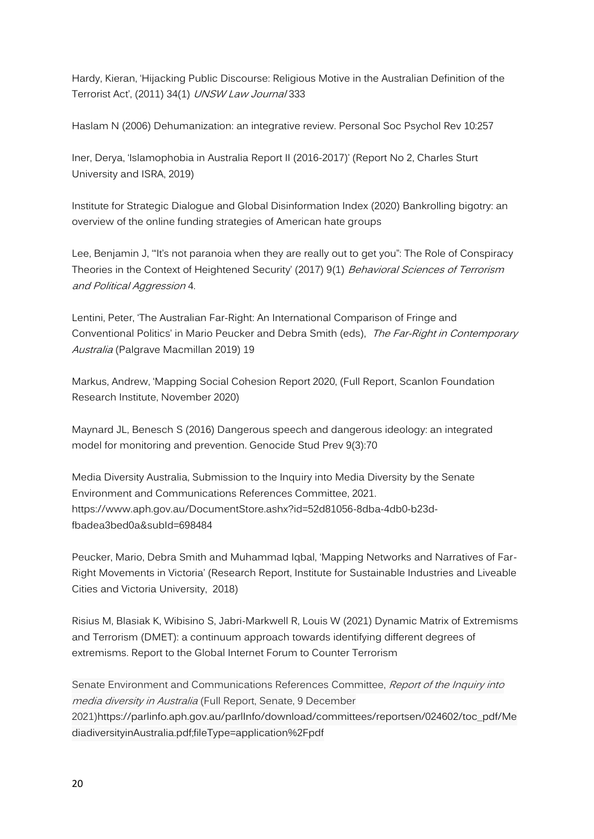Hardy, Kieran, 'Hijacking Public Discourse: Religious Motive in the Australian Definition of the Terrorist Act', (2011) 34(1) UNSW Law Journal 333

Haslam N (2006) Dehumanization: an integrative review. Personal Soc Psychol Rev 10:257

Iner, Derya, 'Islamophobia in Australia Report II (2016-2017)' (Report No 2, Charles Sturt University and ISRA, 2019)

Institute for Strategic Dialogue and Global Disinformation Index (2020) Bankrolling bigotry: an overview of the online funding strategies of American hate groups

Lee, Benjamin J, '"It's not paranoia when they are really out to get you": The Role of Conspiracy Theories in the Context of Heightened Security' (2017) 9(1) Behavioral Sciences of Terrorism and Political Aggression 4.

Lentini, Peter, 'The Australian Far-Right: An International Comparison of Fringe and Conventional Politics' in Mario Peucker and Debra Smith (eds). The Far-Right in Contemporary Australia (Palgrave Macmillan 2019) 19

Markus, Andrew, 'Mapping Social Cohesion Report 2020, (Full Report, Scanlon Foundation Research Institute, November 2020)

Maynard JL, Benesch S (2016) Dangerous speech and dangerous ideology: an integrated model for monitoring and prevention. Genocide Stud Prev 9(3):70

Media Diversity Australia, Submission to the Inquiry into Media Diversity by the Senate Environment and Communications References Committee, 2021. https://www.aph.gov.au/DocumentStore.ashx?id=52d81056-8dba-4db0-b23dfbadea3bed0a&subId=698484

Peucker, Mario, Debra Smith and Muhammad Iqbal, 'Mapping Networks and Narratives of Far-Right Movements in Victoria' (Research Report, Institute for Sustainable Industries and Liveable Cities and Victoria University, 2018)

Risius M, Blasiak K, Wibisino S, Jabri-Markwell R, Louis W (2021) Dynamic Matrix of Extremisms and Terrorism (DMET): a continuum approach towards identifying different degrees of extremisms. Report to the Global Internet Forum to Counter Terrorism

Senate Environment and Communications References Committee, Report of the Inquiry into media diversity in Australia (Full Report, Senate, 9 December 2021)https://parlinfo.aph.gov.au/parlInfo/download/committees/reportsen/024602/toc\_pdf/Me diadiversityinAustralia.pdf;fileType=application%2Fpdf